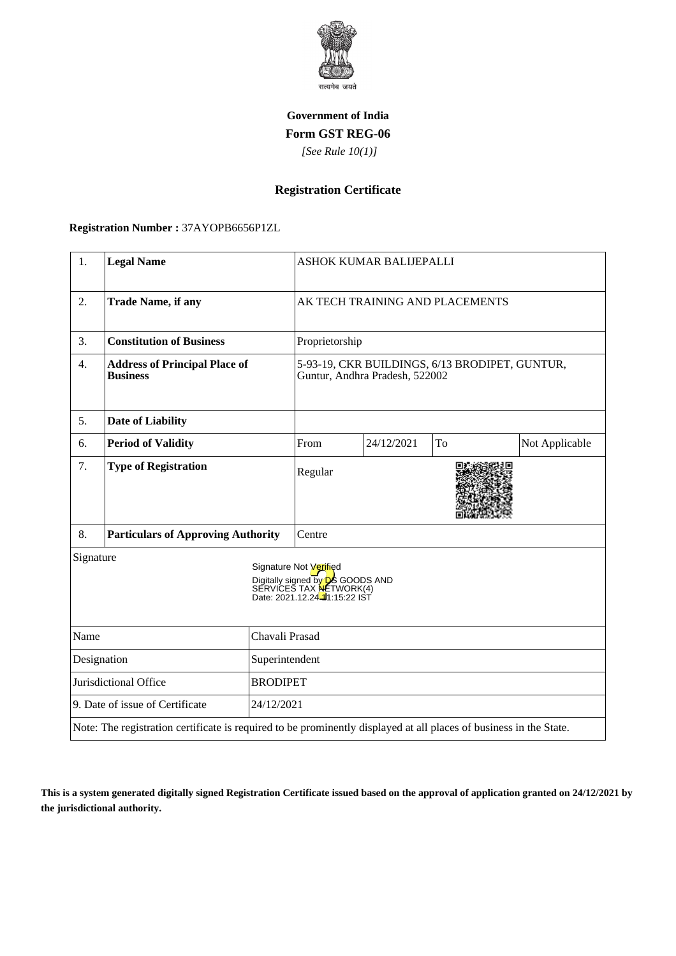

## **Government of India Form GST REG-06**

 *[See Rule 10(1)]*

## **Registration Certificate**

 **Registration Number :** 37AYOPB6656P1ZL

| 1.                                                                                                                 | <b>Legal Name</b>                                       |                                                                                                                                | ASHOK KUMAR BALIJEPALLI                                                          |            |    |                |
|--------------------------------------------------------------------------------------------------------------------|---------------------------------------------------------|--------------------------------------------------------------------------------------------------------------------------------|----------------------------------------------------------------------------------|------------|----|----------------|
| 2.                                                                                                                 | <b>Trade Name, if any</b>                               |                                                                                                                                | AK TECH TRAINING AND PLACEMENTS                                                  |            |    |                |
| 3.                                                                                                                 | <b>Constitution of Business</b>                         |                                                                                                                                | Proprietorship                                                                   |            |    |                |
| 4.                                                                                                                 | <b>Address of Principal Place of</b><br><b>Business</b> |                                                                                                                                | 5-93-19, CKR BUILDINGS, 6/13 BRODIPET, GUNTUR,<br>Guntur, Andhra Pradesh, 522002 |            |    |                |
| 5.                                                                                                                 | <b>Date of Liability</b>                                |                                                                                                                                |                                                                                  |            |    |                |
| 6.                                                                                                                 | <b>Period of Validity</b>                               |                                                                                                                                | From                                                                             | 24/12/2021 | To | Not Applicable |
| 7.                                                                                                                 | <b>Type of Registration</b>                             |                                                                                                                                | Regular                                                                          |            |    |                |
| 8.                                                                                                                 | <b>Particulars of Approving Authority</b>               |                                                                                                                                | Centre                                                                           |            |    |                |
| Signature                                                                                                          |                                                         | Signature Not Verified<br>Digitally signed by <b>D</b> S GOODS AND<br>SERVICES TAX NETWORK(4)<br>Date: 2021.12.24-11:15:22 IST |                                                                                  |            |    |                |
| Chavali Prasad<br>Name                                                                                             |                                                         |                                                                                                                                |                                                                                  |            |    |                |
| Designation<br>Superintendent                                                                                      |                                                         |                                                                                                                                |                                                                                  |            |    |                |
| Jurisdictional Office<br><b>BRODIPET</b>                                                                           |                                                         |                                                                                                                                |                                                                                  |            |    |                |
| 9. Date of issue of Certificate<br>24/12/2021                                                                      |                                                         |                                                                                                                                |                                                                                  |            |    |                |
| Note: The registration certificate is required to be prominently displayed at all places of business in the State. |                                                         |                                                                                                                                |                                                                                  |            |    |                |

**This is a system generated digitally signed Registration Certificate issued based on the approval of application granted on 24/12/2021 by the jurisdictional authority.**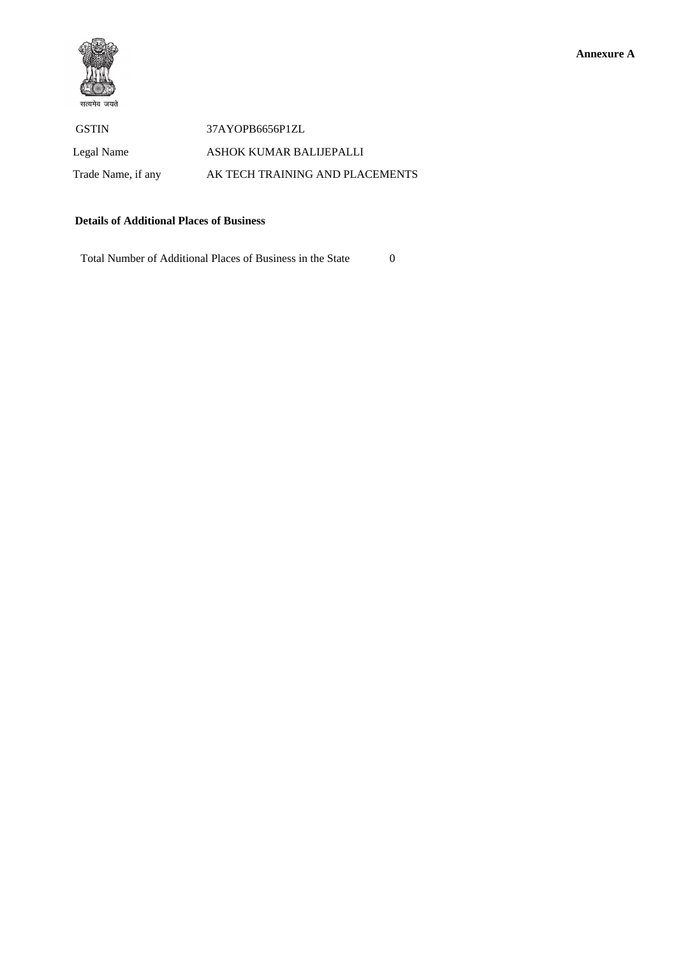

 GSTIN 37AYOPB6656P1ZL Legal Name ASHOK KUMAR BALIJEPALLI Trade Name, if any **AK TECH TRAINING AND PLACEMENTS** 

## **Details of Additional Places of Business**

Total Number of Additional Places of Business in the State 0